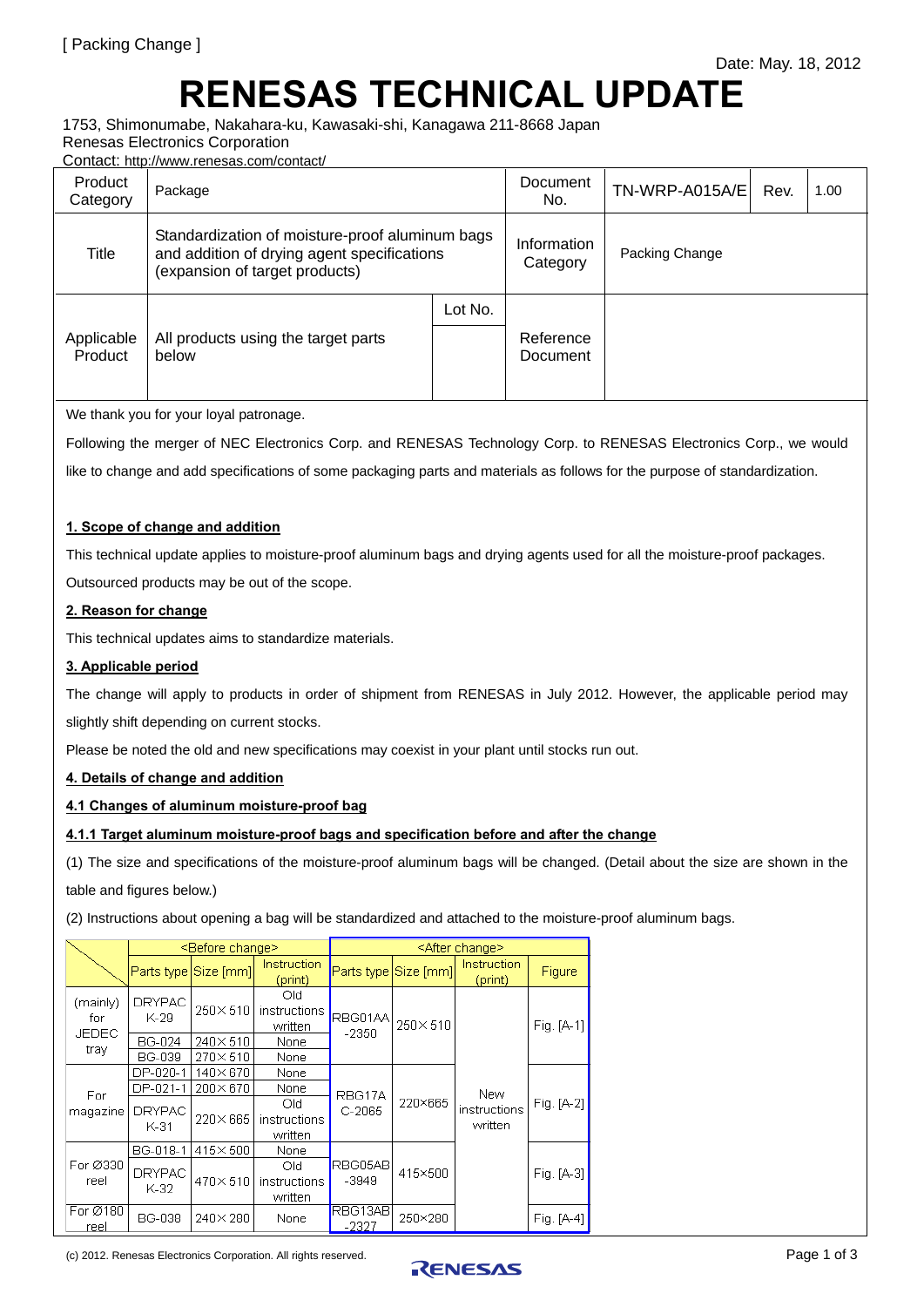# **RENESAS TECHNICAL UPDATE**

1753, Shimonumabe, Nakahara-ku, Kawasaki-shi, Kanagawa 211-8668 Japan Renesas Electronics Corporation

Contact: http://www.renesas.com/contact/

| Product<br>Category   | Package                                                                                                                          | Document<br>No.         | TN-WRP-A015A/E        | Rev. | 1.00 |  |
|-----------------------|----------------------------------------------------------------------------------------------------------------------------------|-------------------------|-----------------------|------|------|--|
| Title                 | Standardization of moisture-proof aluminum bags<br>and addition of drying agent specifications<br>(expansion of target products) | Information<br>Category | Packing Change        |      |      |  |
| Applicable<br>Product | All products using the target parts<br>below                                                                                     | Lot No.                 | Reference<br>Document |      |      |  |

We thank you for your loyal patronage.

Following the merger of NEC Electronics Corp. and RENESAS Technology Corp. to RENESAS Electronics Corp., we would

like to change and add specifications of some packaging parts and materials as follows for the purpose of standardization.

# **1. Scope of change and addition**

This technical update applies to moisture-proof aluminum bags and drying agents used for all the moisture-proof packages.

Outsourced products may be out of the scope.

# **2. Reason for change**

This technical updates aims to standardize materials.

#### **3. Applicable period**

The change will apply to products in order of shipment from RENESAS in July 2012. However, the applicable period may slightly shift depending on current stocks.

Please be noted the old and new specifications may coexist in your plant until stocks run out.

#### **4. Details of change and addition**

# **4.1 Changes of aluminum moisture-proof bag**

#### **4.1.1 Target aluminum moisture-proof bags and specification before and after the change**

(1) The size and specifications of the moisture-proof aluminum bags will be changed. (Detail about the size are shown in the table and figures below.)

(2) Instructions about opening a bag will be standardized and attached to the moisture-proof aluminum bags.

|                                  | <before change=""></before> |                      |                                 | <after change=""></after> |                      |                                |              |  |
|----------------------------------|-----------------------------|----------------------|---------------------------------|---------------------------|----------------------|--------------------------------|--------------|--|
|                                  |                             | Parts type Size [mm] | Instruction<br>(print)          |                           | Parts type Size [mm] | Instruction<br>(print)         | Figure       |  |
| (mainly)<br>for<br>JEDEC<br>tray | <b>DRYPAC</b><br>K-29       | 250×510              | Old<br>instructions<br>written  | RBG01AA<br>$-2350$        | 250×510              | New<br>instructions<br>written | $Fig. [A-1]$ |  |
|                                  | BG-024                      | $240 \times 510$     | None                            |                           |                      |                                |              |  |
|                                  | <b>BG-039</b>               | 270×510              | None                            |                           |                      |                                |              |  |
| For.<br>magazine                 | DP-020-1                    | 140×670              | None                            |                           | 220×665              |                                |              |  |
|                                  | DP-021-1                    | 200×670              | None                            | RBG17A                    |                      |                                | Fig. [A-2]   |  |
|                                  | <b>DRYPAC</b><br>K-31       | 220×665              | Old.<br>instructions<br>written | $C-2065$                  |                      |                                |              |  |
| For Ø330<br>reel                 | BG-018-1                    | 415×500              | None                            |                           | 415×500              |                                | Fig. [A-3]   |  |
|                                  | <b>DRYPAC</b><br>K-32       | 470×510              | Old<br>instructions<br>written  | RBG05ABI<br>$-3949$       |                      |                                |              |  |
| For Ø180<br>reel                 | <b>BG-038</b>               | $240\times 280$      | None                            | RBG13AB<br>$-2327$        | 250×280              |                                | Fig. [A-4]   |  |

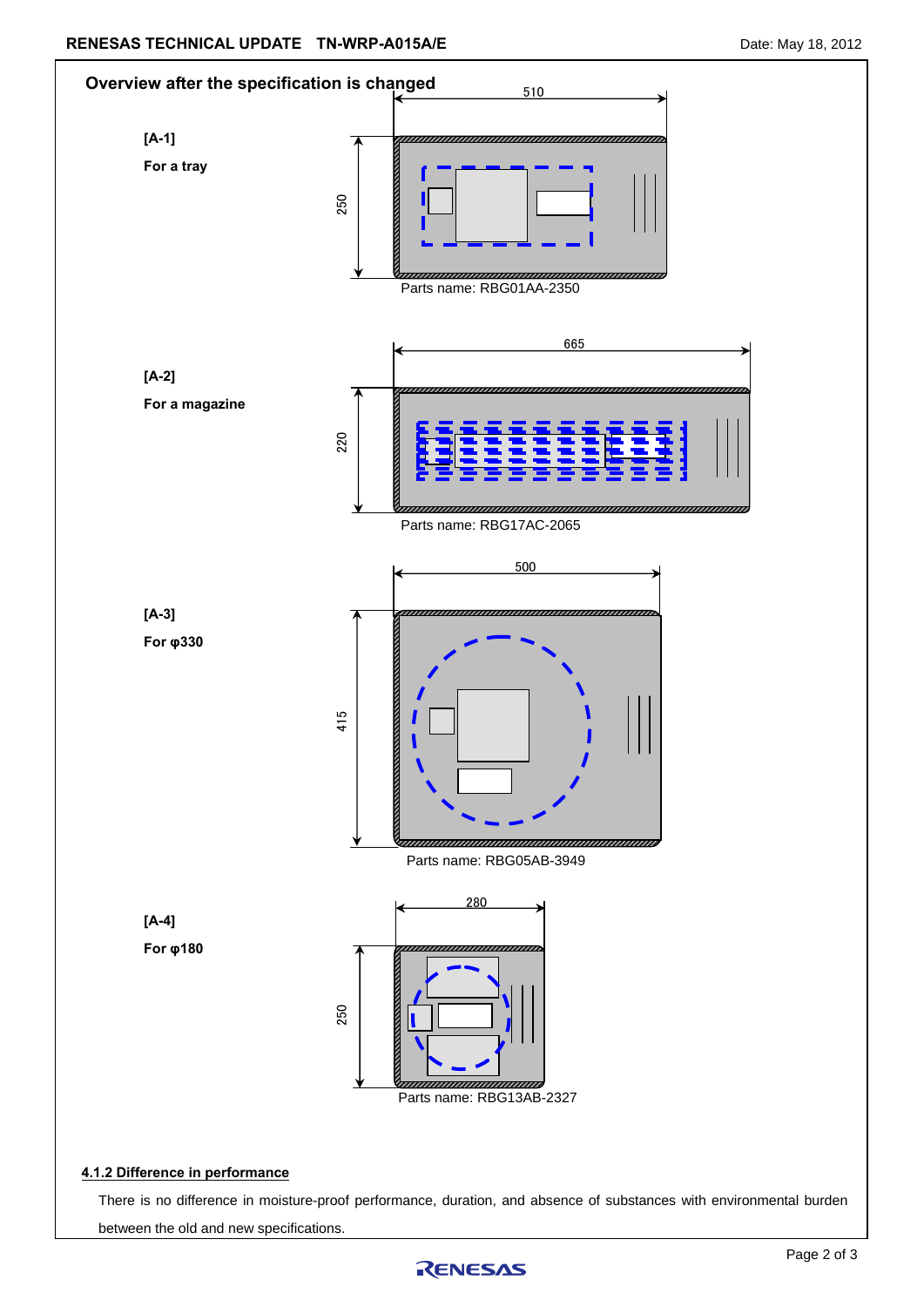